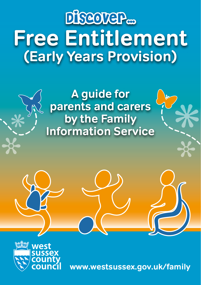# **Free Entitlement (Early Years Provision)** Discover<sub>m</sub>

### **A guide for parents and carers by the Family Information Service**





**www.westsussex.gov.uk/family**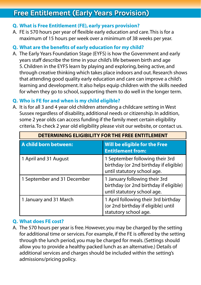#### **Free Entitlement (Early Years Provision)**

#### **Q. What is Free Entitlement (FE), early years provision?**

A. FE is 570 hours per year of flexible early education and care. This is for a maximum of 15 hours per week over a minimum of 38 weeks per year.

#### **Q. What are the benefits of early education for my child?**

A. The Early Years Foundation Stage (EYFS) is how the Government and early years staff describe the time in your child's life between birth and age 5. Children in the EYFS learn by playing and exploring, being active, and through creative thinking which takes place indoors and out. Research shows that attending good quality early education and care can improve a child's learning and development. It also helps equip children with the skills needed for when they go to school, supporting them to do well in the longer term.

#### **Q. Who is FE for and when is my child eligible?**

A. It is for all 3 and 4 year old children attending a childcare setting in West Sussex regardless of disability, additional needs or citizenship. In addition, some 2 year olds can access funding if the family meet certain eligibility criteria. To check 2 year old eligibility please visit our website, or contact us.

| DETERMINING ELIGIBILITY FOR THE FREE ENTITLEMENT |                                                                                                          |  |  |
|--------------------------------------------------|----------------------------------------------------------------------------------------------------------|--|--|
| A child born between:                            | Will be eligible for the Free<br><b>Entitlement from:</b>                                                |  |  |
| 1 April and 31 August                            | 1 September following their 3rd<br>birthday (or 2nd birthday if eligible)<br>until statutory school age. |  |  |
| 1 September and 31 December                      | 1 January following their 3rd<br>birthday (or 2nd birthday if eligible)<br>until statutory school age.   |  |  |
| 1 January and 31 March                           | 1 April following their 3rd birthday<br>(or 2nd birthday if eligible) until<br>statutory school age.     |  |  |

#### **Q. What does FE cost?**

A. The 570 hours per year is free. However, you may be charged by the setting for additional time or services. For example, if the FE is offered by the setting through the lunch period, you may be charged for meals. (Settings should allow you to provide a healthy packed lunch as an alternative.) Details of additional services and charges should be included within the setting's admissions/pricing policy.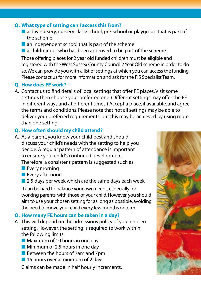#### **Q. What type of setting can I access this from?**

- $\blacksquare$  a day nursery, nursery class/school, pre-school or playgroup that is part of the scheme
- $\blacksquare$  an independent school that is part of the scheme
- $\blacksquare$  a childminder who has been approved to be part of the scheme

Those offering places for 2 year old funded children must be eligible and registered with the West Sussex County Council 2 Year Old scheme in order to do so. We can provide you with a list of settings at which you can access the funding. Please contact us for more information and ask for the FIS Specialist Team.

#### **Q. How does FE work?**

A. Contact us to find details of local settings that offer FE places. Visit some settings then choose your preferred one. (Different settings may offer the FE in different ways and at different times.) Accept a place, if available, and agree the terms and conditions. Please note that not all settings may be able to deliver your preferred requirements, but this may be achieved by using more than one setting.

#### **Q. How often should my child attend?**

- A. As a parent, you know your child best and should discuss your child's needs with the setting to help you decide. A regular pattern of attendance is important to ensure your child's continued development. Therefore, a consistent pattern is suggested such as:
	- $\blacksquare$  Every morning
	- **n** Every afternoon
	- $\blacksquare$  2.5 days per week which are the same days each week

It can be hard to balance your own needs, especially for working parents, with those of your child. However, you should aim to use your chosen setting for as long as possible, avoiding the need to move your child every few months or term.

#### **Q. How many FE hours can be taken in a day?**

- A. This will depend on the admissions policy of your chosen setting. However, the setting is required to work within the following limits:
	- $\blacksquare$  Maximum of 10 hours in one day
	- $\blacksquare$  Minimum of 2.5 hours in one day
	- $\blacksquare$  Between the hours of 7am and 7pm
	- $\blacksquare$  15 hours over a minimum of 2 days

Claims can be made in half hourly increments.

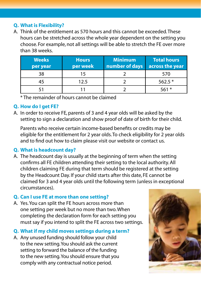#### **Q. What is Flexibility?**

A. Think of the entitlement as 570 hours and this cannot be exceeded. These hours can be stretched across the whole year dependent on the setting you choose. For example, not all settings will be able to stretch the FE over more than 38 weeks.

| <b>Weeks</b><br>per year | <b>Hours</b><br>per week | <b>Minimum</b><br>number of days | Total hours<br>across the year |
|--------------------------|--------------------------|----------------------------------|--------------------------------|
| 38                       | 15                       |                                  | 570                            |
| 45                       | 12.5                     |                                  | $562.5*$                       |
|                          |                          |                                  | 561 $*$                        |

\* The remainder of hours cannot be claimed

#### **Q. How do I get FE?**

A. In order to receive FE, parents of 3 and 4 year olds will be asked by the setting to sign a declaration and show proof of date of birth for their child.

Parents who receive certain income-based benefits or credits may be eligible for the entitlement for 2 year olds. To check eligibility for 2 year olds and to find out how to claim please visit our website or contact us.

#### **Q. What is headcount day?**

A. The headcount day is usually at the beginning of term when the setting confirms all FE children attending their setting to the local authority. All children claiming FE during that term should be registered at the setting by the Headcount Day. If your child starts after this date, FE cannot be claimed for 3 and 4 year olds until the following term (unless in exceptional circumstances).

#### **Q. Can I use FE at more than one setting?**

A. Yes. You can split the FE hours across more than one setting per week but no more than two. When completing the declaration form for each setting you must say if you intend to split the FE across two settings.

#### **Q. What if my child moves settings during a term?**

A. Any unused funding should follow your child to the new setting. You should ask the current setting to forward the balance of the funding to the new setting. You should ensure that you comply with any contractual notice period.

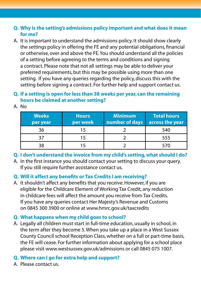#### **Q. Why is the setting's admissions policy important and what does it mean for me?**

A. It is important to understand the admissions policy. It should show clearly the settings policy in offering the FE and any potential obligations, financial or otherwise, over and above the FE. You should understand all the policies of a setting before agreeing to the terms and conditions and signing a contract. Please note that not all settings may be able to deliver your preferred requirements, but this may be possible using more than one setting. If you have any queries regarding the policy, discuss this with the setting before signing a contract. For further help and support contact us.

#### **Q. If a setting is open for less than 38 weeks per year, can the remaining hours be claimed at another setting?**

| <b>Weeks</b><br>per year | <b>Hours</b><br>per week | <b>Minimum</b><br>number of days | <b>Total hours</b><br>across the year |
|--------------------------|--------------------------|----------------------------------|---------------------------------------|
| 36                       |                          |                                  | 540                                   |
|                          |                          |                                  | 555                                   |
| 38                       |                          |                                  | 570                                   |

A. No

**Q. I don't understand the invoice from my child's setting, what should I do?** 

A. In the first instance you should contact your setting to discuss your query. If you still require further assistance contact us.

#### **Q. Will it affect any benefits or Tax Credits I am receiving?**

A. It shouldn't affect any benefits that you receive. However, if you are eligible for the Childcare Element of Working Tax Credit, any reduction in childcare fees will affect the amount you receive from Tax Credits. If you have any queries contact Her Majesty's Revenue and Customs on 0845 300 3900 or online at www.hmrc.gov.uk/taxcredits

#### **Q. What happens when my child goes to school?**

A. Legally all children must start in full-time education, usually in school, in the term after they become 5. When you take up a place in a West Sussex County Council school Reception Class, whether on a full or part-time basis, the FE will cease. For further information about applying for a school place please visit www.westsussex.gov.uk/admissions or call 0845 075 1007.

#### **Q. Where can I go for extra help and support?**

A. Please contact us.